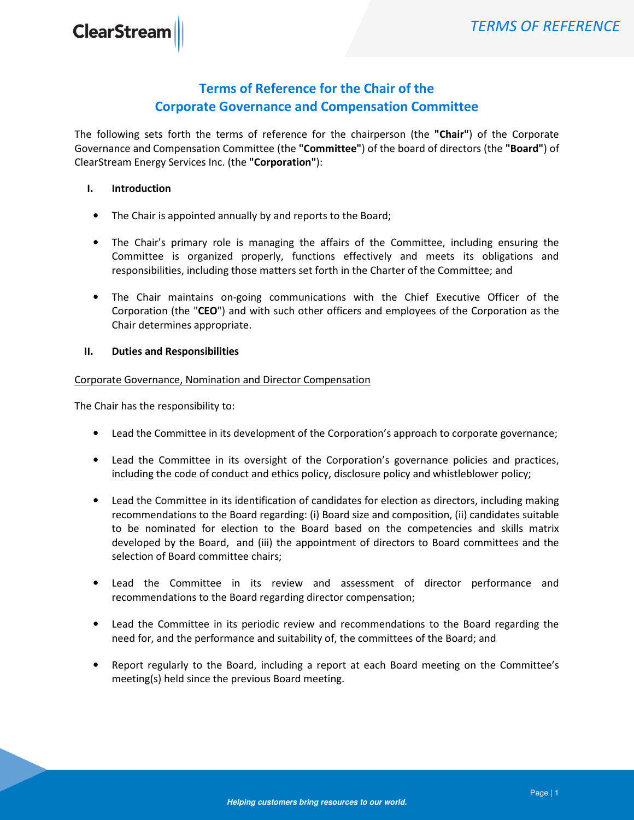# Terms of Reference for the Chair of the Corporate Governance and Compensation Committee

The following sets forth the terms of reference for the chairperson (the "Chair") of the Corporate Governance and Compensation Committee (the "Committee") of the board of directors (the "Board") of ClearStream Energy Services Inc. (the "Corporation"):

## I. Introduction

- The Chair is appointed annually by and reports to the Board;
- The Chair's primary role is managing the affairs of the Committee, including ensuring the Committee is organized properly, functions effectively and meets its obligations and responsibilities, including those matters set forth in the Charter of the Committee; and
- The Chair maintains on-going communications with the Chief Executive Officer of the Corporation (the "CEO") and with such other officers and employees of the Corporation as the Chair determines appropriate.

### II. Duties and Responsibilities

Corporate Governance, Nomination and Director Compensation

The Chair has the responsibility to:

- Lead the Committee in its development of the Corporation's approach to corporate governance;
- Lead the Committee in its oversight of the Corporation's governance policies and practices, including the code of conduct and ethics policy, disclosure policy and whistleblower policy;
- Lead the Committee in its identification of candidates for election as directors, including making recommendations to the Board regarding: (i) Board size and composition, (ii) candidates suitable to be nominated for election to the Board based on the competencies and skills matrix developed by the Board, and (iii) the appointment of directors to Board committees and the selection of Board committee chairs;
- Lead the Committee in its review and assessment of director performance and recommendations to the Board regarding director compensation;
- Lead the Committee in its periodic review and recommendations to the Board regarding the need for, and the performance and suitability of, the committees of the Board; and
- Report regularly to the Board, including a report at each Board meeting on the Committee's meeting(s) held since the previous Board meeting.